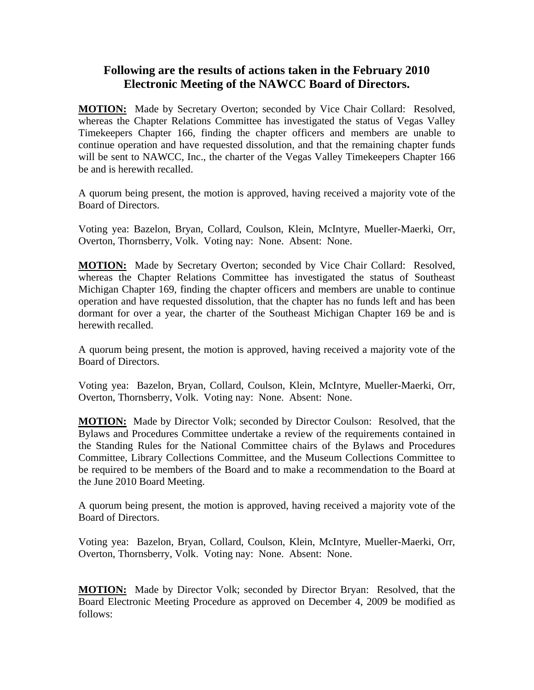## **Following are the results of actions taken in the February 2010 Electronic Meeting of the NAWCC Board of Directors.**

**MOTION:** Made by Secretary Overton; seconded by Vice Chair Collard: Resolved, whereas the Chapter Relations Committee has investigated the status of Vegas Valley Timekeepers Chapter 166, finding the chapter officers and members are unable to continue operation and have requested dissolution, and that the remaining chapter funds will be sent to NAWCC, Inc., the charter of the Vegas Valley Timekeepers Chapter 166 be and is herewith recalled.

A quorum being present, the motion is approved, having received a majority vote of the Board of Directors.

Voting yea: Bazelon, Bryan, Collard, Coulson, Klein, McIntyre, Mueller-Maerki, Orr, Overton, Thornsberry, Volk. Voting nay: None. Absent: None.

**MOTION:** Made by Secretary Overton; seconded by Vice Chair Collard: Resolved, whereas the Chapter Relations Committee has investigated the status of Southeast Michigan Chapter 169, finding the chapter officers and members are unable to continue operation and have requested dissolution, that the chapter has no funds left and has been dormant for over a year, the charter of the Southeast Michigan Chapter 169 be and is herewith recalled.

A quorum being present, the motion is approved, having received a majority vote of the Board of Directors.

Voting yea: Bazelon, Bryan, Collard, Coulson, Klein, McIntyre, Mueller-Maerki, Orr, Overton, Thornsberry, Volk. Voting nay: None. Absent: None.

**MOTION:** Made by Director Volk; seconded by Director Coulson: Resolved, that the Bylaws and Procedures Committee undertake a review of the requirements contained in the Standing Rules for the National Committee chairs of the Bylaws and Procedures Committee, Library Collections Committee, and the Museum Collections Committee to be required to be members of the Board and to make a recommendation to the Board at the June 2010 Board Meeting.

A quorum being present, the motion is approved, having received a majority vote of the Board of Directors.

Voting yea: Bazelon, Bryan, Collard, Coulson, Klein, McIntyre, Mueller-Maerki, Orr, Overton, Thornsberry, Volk. Voting nay: None. Absent: None.

**MOTION:** Made by Director Volk; seconded by Director Bryan: Resolved, that the Board Electronic Meeting Procedure as approved on December 4, 2009 be modified as follows: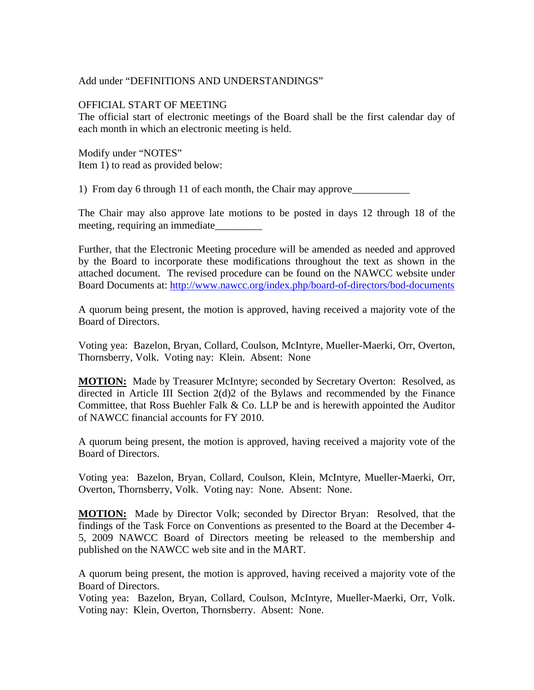## Add under "DEFINITIONS AND UNDERSTANDINGS"

## OFFICIAL START OF MEETING

The official start of electronic meetings of the Board shall be the first calendar day of each month in which an electronic meeting is held.

Modify under "NOTES" Item 1) to read as provided below:

1) From day 6 through 11 of each month, the Chair may approve\_\_\_\_\_\_\_\_\_\_\_\_\_\_\_\_\_\_\_\_

The Chair may also approve late motions to be posted in days 12 through 18 of the meeting, requiring an immediate\_\_\_\_\_\_\_\_\_

Further, that the Electronic Meeting procedure will be amended as needed and approved by the Board to incorporate these modifications throughout the text as shown in the attached document. The revised procedure can be found on the NAWCC website under Board Documents at:<http://www.nawcc.org/index.php/board-of-directors/bod-documents>

A quorum being present, the motion is approved, having received a majority vote of the Board of Directors.

Voting yea: Bazelon, Bryan, Collard, Coulson, McIntyre, Mueller-Maerki, Orr, Overton, Thornsberry, Volk. Voting nay: Klein. Absent: None

**MOTION:** Made by Treasurer McIntyre; seconded by Secretary Overton: Resolved, as directed in Article III Section 2(d)2 of the Bylaws and recommended by the Finance Committee, that Ross Buehler Falk & Co. LLP be and is herewith appointed the Auditor of NAWCC financial accounts for FY 2010.

A quorum being present, the motion is approved, having received a majority vote of the Board of Directors.

Voting yea: Bazelon, Bryan, Collard, Coulson, Klein, McIntyre, Mueller-Maerki, Orr, Overton, Thornsberry, Volk. Voting nay: None. Absent: None.

**MOTION:** Made by Director Volk; seconded by Director Bryan: Resolved, that the findings of the Task Force on Conventions as presented to the Board at the December 4- 5, 2009 NAWCC Board of Directors meeting be released to the membership and published on the NAWCC web site and in the MART.

A quorum being present, the motion is approved, having received a majority vote of the Board of Directors.

Voting yea: Bazelon, Bryan, Collard, Coulson, McIntyre, Mueller-Maerki, Orr, Volk. Voting nay: Klein, Overton, Thornsberry. Absent: None.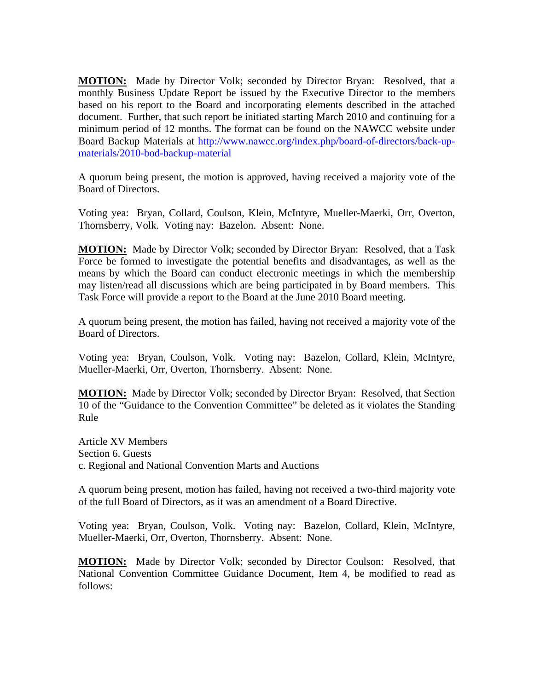**MOTION:** Made by Director Volk; seconded by Director Bryan: Resolved, that a monthly Business Update Report be issued by the Executive Director to the members based on his report to the Board and incorporating elements described in the attached document. Further, that such report be initiated starting March 2010 and continuing for a minimum period of 12 months. The format can be found on the NAWCC website under Board Backup Materials at [http://www.nawcc.org/index.php/board-of-directors/back-up](http://www.nawcc.org/index.php/board-of-directors/back-up-materials/2010-bod-back-up-material)[materials/2010-bod-backup-material](http://www.nawcc.org/index.php/board-of-directors/back-up-materials/2010-bod-back-up-material)

A quorum being present, the motion is approved, having received a majority vote of the Board of Directors.

Voting yea: Bryan, Collard, Coulson, Klein, McIntyre, Mueller-Maerki, Orr, Overton, Thornsberry, Volk. Voting nay: Bazelon. Absent: None.

**MOTION:** Made by Director Volk; seconded by Director Bryan: Resolved, that a Task Force be formed to investigate the potential benefits and disadvantages, as well as the means by which the Board can conduct electronic meetings in which the membership may listen/read all discussions which are being participated in by Board members. This Task Force will provide a report to the Board at the June 2010 Board meeting.

A quorum being present, the motion has failed, having not received a majority vote of the Board of Directors.

Voting yea: Bryan, Coulson, Volk. Voting nay: Bazelon, Collard, Klein, McIntyre, Mueller-Maerki, Orr, Overton, Thornsberry. Absent: None.

**MOTION:** Made by Director Volk; seconded by Director Bryan: Resolved, that Section 10 of the "Guidance to the Convention Committee" be deleted as it violates the Standing Rule

Article XV Members Section 6. Guests c. Regional and National Convention Marts and Auctions

A quorum being present, motion has failed, having not received a two-third majority vote of the full Board of Directors, as it was an amendment of a Board Directive.

Voting yea: Bryan, Coulson, Volk. Voting nay: Bazelon, Collard, Klein, McIntyre, Mueller-Maerki, Orr, Overton, Thornsberry. Absent: None.

**MOTION:** Made by Director Volk; seconded by Director Coulson: Resolved, that National Convention Committee Guidance Document, Item 4, be modified to read as follows: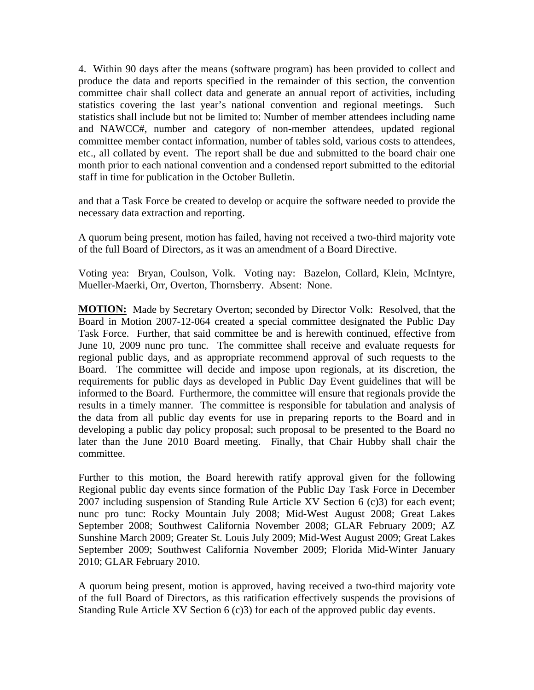4. Within 90 days after the means (software program) has been provided to collect and produce the data and reports specified in the remainder of this section, the convention committee chair shall collect data and generate an annual report of activities, including statistics covering the last year's national convention and regional meetings. Such statistics shall include but not be limited to: Number of member attendees including name and NAWCC#, number and category of non-member attendees, updated regional committee member contact information, number of tables sold, various costs to attendees, etc., all collated by event. The report shall be due and submitted to the board chair one month prior to each national convention and a condensed report submitted to the editorial staff in time for publication in the October Bulletin.

and that a Task Force be created to develop or acquire the software needed to provide the necessary data extraction and reporting.

A quorum being present, motion has failed, having not received a two-third majority vote of the full Board of Directors, as it was an amendment of a Board Directive.

Voting yea: Bryan, Coulson, Volk. Voting nay: Bazelon, Collard, Klein, McIntyre, Mueller-Maerki, Orr, Overton, Thornsberry. Absent: None.

**MOTION:** Made by Secretary Overton; seconded by Director Volk: Resolved, that the Board in Motion 2007-12-064 created a special committee designated the Public Day Task Force. Further, that said committee be and is herewith continued, effective from June 10, 2009 nunc pro tunc. The committee shall receive and evaluate requests for regional public days, and as appropriate recommend approval of such requests to the Board. The committee will decide and impose upon regionals, at its discretion, the requirements for public days as developed in Public Day Event guidelines that will be informed to the Board. Furthermore, the committee will ensure that regionals provide the results in a timely manner. The committee is responsible for tabulation and analysis of the data from all public day events for use in preparing reports to the Board and in developing a public day policy proposal; such proposal to be presented to the Board no later than the June 2010 Board meeting. Finally, that Chair Hubby shall chair the committee.

Further to this motion, the Board herewith ratify approval given for the following Regional public day events since formation of the Public Day Task Force in December 2007 including suspension of Standing Rule Article XV Section 6 (c)3) for each event; nunc pro tunc: Rocky Mountain July 2008; Mid-West August 2008; Great Lakes September 2008; Southwest California November 2008; GLAR February 2009; AZ Sunshine March 2009; Greater St. Louis July 2009; Mid-West August 2009; Great Lakes September 2009; Southwest California November 2009; Florida Mid-Winter January 2010; GLAR February 2010.

A quorum being present, motion is approved, having received a two-third majority vote of the full Board of Directors, as this ratification effectively suspends the provisions of Standing Rule Article XV Section 6 (c)3) for each of the approved public day events.